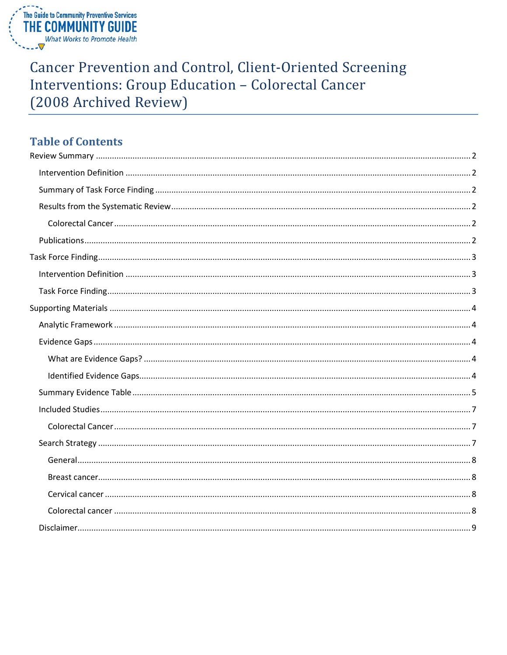

# **Cancer Prevention and Control, Client-Oriented Screening** Interventions: Group Education - Colorectal Cancer (2008 Archived Review)

# **Table of Contents**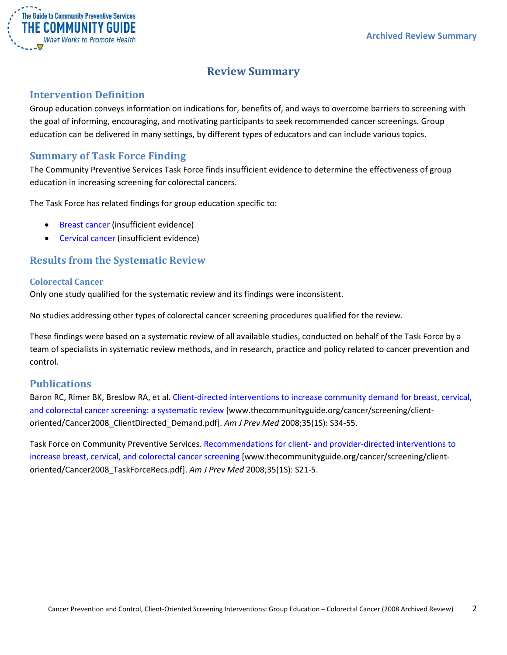

# **Review Summary**

## <span id="page-1-1"></span><span id="page-1-0"></span>**Intervention Definition**

Group education conveys information on indications for, benefits of, and ways to overcome barriers to screening with the goal of informing, encouraging, and motivating participants to seek recommended cancer screenings. Group education can be delivered in many settings, by different types of educators and can include various topics.

## <span id="page-1-2"></span>**Summary of Task Force Finding**

The Community Preventive Services Task Force finds insufficient evidence to determine the effectiveness of group education in increasing screening for colorectal cancers.

The Task Force has related findings for group education specific to:

- Breast cancer (insufficient evidence)
- Cervical cancer (insufficient evidence)

## <span id="page-1-3"></span>**Results from the Systematic Review**

#### <span id="page-1-4"></span>**Colorectal Cancer**

Only one study qualified for the systematic review and its findings were inconsistent.

No studies addressing other types of colorectal cancer screening procedures qualified for the review.

These findings were based on a systematic review of all available studies, conducted on behalf of the Task Force by a team of specialists in systematic review methods, and in research, practice and policy related to cancer prevention and control.

## <span id="page-1-5"></span>**Publications**

Baron RC, Rimer BK, Breslow RA, et al. [Client-directed interventions to increase community demand for breast, cervical,](http://www.thecommunityguide.org/cancer/screening/client-oriented/Cancer2008_ClientDirected_Demand.pdf)  [and colorectal cancer screening: a systematic review](http://www.thecommunityguide.org/cancer/screening/client-oriented/Cancer2008_ClientDirected_Demand.pdf) [www.thecommunityguide.org/cancer/screening/clientoriented/Cancer2008\_ClientDirected\_Demand.pdf]. *Am J Prev Med* 2008;35(1S): S34-55.

Task Force on Community Preventive Services. Recommendations for client- [and provider-directed interventions to](http://www.thecommunityguide.org/cancer/screening/client-oriented/Cancer2008_TaskForceRecs.pdf)  [increase breast, cervical, and colorectal cancer screening](http://www.thecommunityguide.org/cancer/screening/client-oriented/Cancer2008_TaskForceRecs.pdf) [www.thecommunityguide.org/cancer/screening/clientoriented/Cancer2008\_TaskForceRecs.pdf]. *Am J Prev Med* 2008;35(1S): S21-5.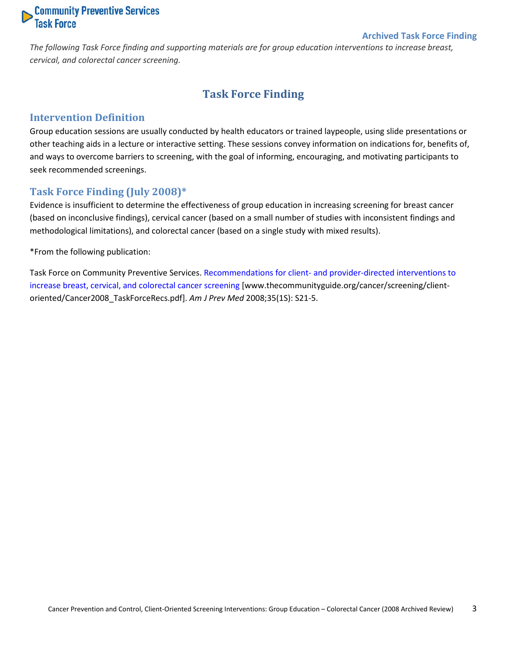# **Community Preventive Services**<br>Task Force

#### **Archived Task Force Finding**

<span id="page-2-0"></span>*The following Task Force finding and supporting materials are for group education interventions to increase breast, cervical, and colorectal cancer screening.*

# **Task Force Finding**

#### <span id="page-2-1"></span>**Intervention Definition**

Group education sessions are usually conducted by health educators or trained laypeople, using slide presentations or other teaching aids in a lecture or interactive setting. These sessions convey information on indications for, benefits of, and ways to overcome barriers to screening, with the goal of informing, encouraging, and motivating participants to seek recommended screenings.

#### <span id="page-2-2"></span>**Task Force Finding (July 2008)\***

Evidence is insufficient to determine the effectiveness of group education in increasing screening for breast cancer (based on inconclusive findings), cervical cancer (based on a small number of studies with inconsistent findings and methodological limitations), and colorectal cancer (based on a single study with mixed results).

\*From the following publication:

Task Force on Community Preventive Services. Recommendations for client- [and provider-directed interventions to](http://www.thecommunityguide.org/cancer/screening/client-oriented/Cancer2008_TaskForceRecs.pdf)  [increase breast, cervical, and colorectal cancer screening](http://www.thecommunityguide.org/cancer/screening/client-oriented/Cancer2008_TaskForceRecs.pdf) [www.thecommunityguide.org/cancer/screening/clientoriented/Cancer2008\_TaskForceRecs.pdf]. *Am J Prev Med* 2008;35(1S): S21-5.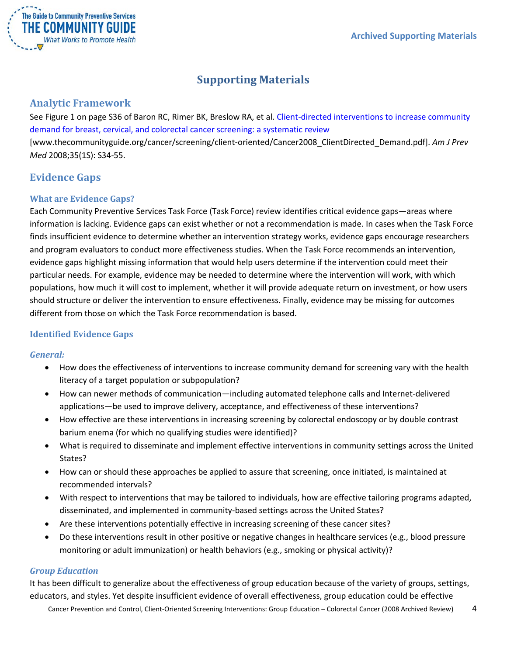

# **Supporting Materials**

## <span id="page-3-1"></span><span id="page-3-0"></span>**Analytic Framework**

See Figure 1 on page S36 of Baron RC, Rimer BK, Breslow RA, et al. [Client-directed interventions to increase community](http://www.thecommunityguide.org/cancer/screening/client-oriented/Cancer2008_ClientDirected_Demand.pdf)  [demand for breast, cervical, and colorectal cancer screening: a systematic review](http://www.thecommunityguide.org/cancer/screening/client-oriented/Cancer2008_ClientDirected_Demand.pdf) [www.thecommunityguide.org/cancer/screening/client-oriented/Cancer2008\_ClientDirected\_Demand.pdf]. *Am J Prev Med* 2008;35(1S): S34-55.

# <span id="page-3-2"></span>**Evidence Gaps**

#### <span id="page-3-3"></span>**What are Evidence Gaps?**

Each Community Preventive Services Task Force (Task Force) review identifies critical evidence gaps—areas where information is lacking. Evidence gaps can exist whether or not a recommendation is made. In cases when the Task Force finds insufficient evidence to determine whether an intervention strategy works, evidence gaps encourage researchers and program evaluators to conduct more effectiveness studies. When the Task Force recommends an intervention, evidence gaps highlight missing information that would help users determine if the intervention could meet their particular needs. For example, evidence may be needed to determine where the intervention will work, with which populations, how much it will cost to implement, whether it will provide adequate return on investment, or how users should structure or deliver the intervention to ensure effectiveness. Finally, evidence may be missing for outcomes different from those on which the Task Force recommendation is based.

## <span id="page-3-4"></span>**Identified Evidence Gaps**

#### *General:*

- How does the effectiveness of interventions to increase community demand for screening vary with the health literacy of a target population or subpopulation?
- How can newer methods of communication—including automated telephone calls and Internet-delivered applications—be used to improve delivery, acceptance, and effectiveness of these interventions?
- How effective are these interventions in increasing screening by colorectal endoscopy or by double contrast barium enema (for which no qualifying studies were identified)?
- What is required to disseminate and implement effective interventions in community settings across the United States?
- How can or should these approaches be applied to assure that screening, once initiated, is maintained at recommended intervals?
- With respect to interventions that may be tailored to individuals, how are effective tailoring programs adapted, disseminated, and implemented in community-based settings across the United States?
- Are these interventions potentially effective in increasing screening of these cancer sites?
- Do these interventions result in other positive or negative changes in healthcare services (e.g., blood pressure monitoring or adult immunization) or health behaviors (e.g., smoking or physical activity)?

#### *Group Education*

It has been difficult to generalize about the effectiveness of group education because of the variety of groups, settings, educators, and styles. Yet despite insufficient evidence of overall effectiveness, group education could be effective

Cancer Prevention and Control, Client-Oriented Screening Interventions: Group Education – Colorectal Cancer (2008 Archived Review) 4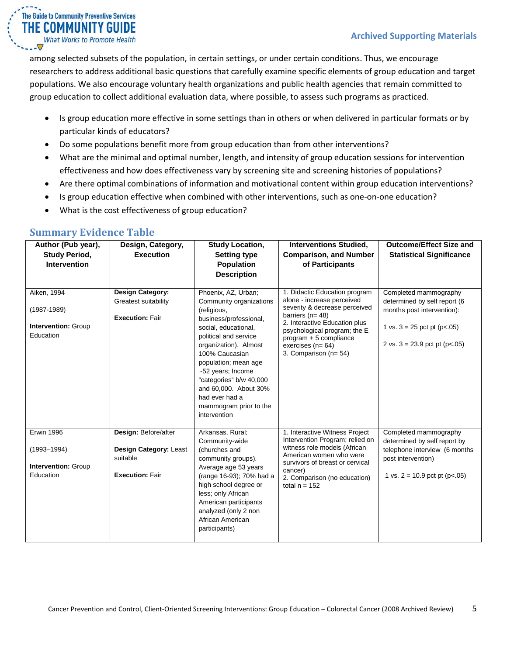among selected subsets of the population, in certain settings, or under certain conditions. Thus, we encourage researchers to address additional basic questions that carefully examine specific elements of group education and target populations. We also encourage voluntary health organizations and public health agencies that remain committed to group education to collect additional evaluation data, where possible, to assess such programs as practiced.

- Is group education more effective in some settings than in others or when delivered in particular formats or by particular kinds of educators?
- Do some populations benefit more from group education than from other interventions?
- What are the minimal and optimal number, length, and intensity of group education sessions for intervention effectiveness and how does effectiveness vary by screening site and screening histories of populations?
- Are there optimal combinations of information and motivational content within group education interventions?
- Is group education effective when combined with other interventions, such as one-on-one education?
- What is the cost effectiveness of group education?

| Author (Pub year),<br><b>Study Period,</b><br><b>Intervention</b>               | Design, Category,<br><b>Execution</b>                                                | <b>Study Location,</b><br><b>Setting type</b><br><b>Population</b><br><b>Description</b>                                                                                                                                                                                                                                                         | <b>Interventions Studied,</b><br><b>Comparison, and Number</b><br>of Participants                                                                                                                                                                                 | <b>Outcome/Effect Size and</b><br><b>Statistical Significance</b>                                                                                            |
|---------------------------------------------------------------------------------|--------------------------------------------------------------------------------------|--------------------------------------------------------------------------------------------------------------------------------------------------------------------------------------------------------------------------------------------------------------------------------------------------------------------------------------------------|-------------------------------------------------------------------------------------------------------------------------------------------------------------------------------------------------------------------------------------------------------------------|--------------------------------------------------------------------------------------------------------------------------------------------------------------|
| Aiken, 1994<br>$(1987 - 1989)$<br>Intervention: Group<br>Education              | <b>Design Category:</b><br>Greatest suitability<br><b>Execution: Fair</b>            | Phoenix, AZ, Urban;<br>Community organizations<br>(religious,<br>business/professional,<br>social, educational,<br>political and service<br>organization). Almost<br>100% Caucasian<br>population; mean age<br>~52 years; Income<br>"categories" b/w 40,000<br>and 60,000. About 30%<br>had ever had a<br>mammogram prior to the<br>intervention | 1. Didactic Education program<br>alone - increase perceived<br>severity & decrease perceived<br>barriers ( $n = 48$ )<br>2. Interactive Education plus<br>psychological program; the E<br>$program + 5$ compliance<br>exercises $(n=64)$<br>3. Comparison (n= 54) | Completed mammography<br>determined by self report (6<br>months post intervention):<br>1 vs. $3 = 25$ pct pt (p<.05)<br>2 vs. $3 = 23.9$ pct pt (p $< .05$ ) |
| <b>Erwin 1996</b><br>$(1993 - 1994)$<br><b>Intervention: Group</b><br>Education | Design: Before/after<br>Design Category: Least<br>suitable<br><b>Execution: Fair</b> | Arkansas, Rural;<br>Community-wide<br>(churches and<br>community groups).<br>Average age 53 years<br>(range 16-93); 70% had a<br>high school degree or<br>less; only African<br>American participants<br>analyzed (only 2 non<br>African American<br>participants)                                                                               | 1. Interactive Witness Project<br>Intervention Program; relied on<br>witness role models (African<br>American women who were<br>survivors of breast or cervical<br>cancer)<br>2. Comparison (no education)<br>total $n = 152$                                     | Completed mammography<br>determined by self report by<br>telephone interview (6 months<br>post intervention)<br>1 vs. $2 = 10.9$ pct pt (p<.05)              |

## <span id="page-4-0"></span>**Summary Evidence Table**

The Guide to Community Preventive Services THE COMMUNITY GUIDE **What Works to Promote Health** 

 $\cdot \nabla$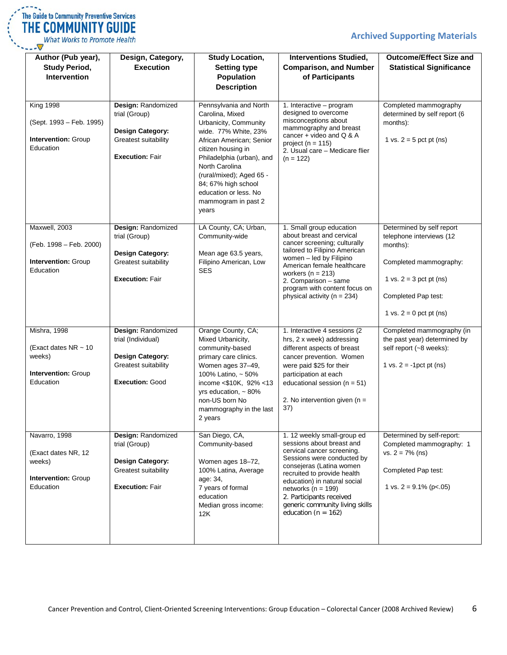## **Archived Supporting Materials**



What Works to Promote Health  $\sqrt{ }$ 

| Author (Pub year),<br><b>Study Period,</b><br><b>Intervention</b>                       | Design, Category,<br><b>Execution</b>                                                                                        | <b>Study Location,</b><br><b>Setting type</b><br><b>Population</b><br><b>Description</b>                                                                                                                                                                                                                | <b>Interventions Studied,</b><br><b>Comparison, and Number</b><br>of Participants                                                                                                                                                                                                                                                   | <b>Outcome/Effect Size and</b><br><b>Statistical Significance</b>                                                                                                            |
|-----------------------------------------------------------------------------------------|------------------------------------------------------------------------------------------------------------------------------|---------------------------------------------------------------------------------------------------------------------------------------------------------------------------------------------------------------------------------------------------------------------------------------------------------|-------------------------------------------------------------------------------------------------------------------------------------------------------------------------------------------------------------------------------------------------------------------------------------------------------------------------------------|------------------------------------------------------------------------------------------------------------------------------------------------------------------------------|
| <b>King 1998</b><br>(Sept. 1993 - Feb. 1995)<br><b>Intervention: Group</b><br>Education | Design: Randomized<br>trial (Group)<br><b>Design Category:</b><br><b>Greatest suitability</b><br><b>Execution: Fair</b>      | Pennsylvania and North<br>Carolina, Mixed<br>Urbanicity, Community<br>wide. 77% White, 23%<br>African American; Senior<br>citizen housing in<br>Philadelphia (urban), and<br>North Carolina<br>(rural/mixed); Aged 65 -<br>84; 67% high school<br>education or less. No<br>mammogram in past 2<br>years | 1. Interactive - program<br>designed to overcome<br>misconceptions about<br>mammography and breast<br>cancer + video and $Q & A$<br>project ( $n = 115$ )<br>2. Usual care - Medicare flier<br>$(n = 122)$                                                                                                                          | Completed mammography<br>determined by self report (6<br>months):<br>1 vs. $2 = 5$ pct pt (ns)                                                                               |
| Maxwell, 2003<br>(Feb. 1998 - Feb. 2000)<br><b>Intervention: Group</b><br>Education     | Design: Randomized<br>trial (Group)<br><b>Design Category:</b><br><b>Greatest suitability</b><br><b>Execution: Fair</b>      | LA County, CA; Urban,<br>Community-wide<br>Mean age 63.5 years,<br>Filipino American, Low<br>SES                                                                                                                                                                                                        | 1. Small group education<br>about breast and cervical<br>cancer screening; culturally<br>tailored to Filipino American<br>women - led by Filipino<br>American female healthcare<br>workers ( $n = 213$ )<br>2. Comparison - same<br>program with content focus on<br>physical activity ( $n = 234$ )                                | Determined by self report<br>telephone interviews (12<br>months):<br>Completed mammography:<br>1 vs. $2 = 3$ pct pt (ns)<br>Completed Pap test:<br>1 vs. $2 = 0$ pct pt (ns) |
| Mishra, 1998<br>(Exact dates NR ~ 10<br>weeks)<br>Intervention: Group<br>Education      | Design: Randomized<br>trial (Individual)<br><b>Design Category:</b><br><b>Greatest suitability</b><br><b>Execution: Good</b> | Orange County, CA;<br>Mixed Urbanicity,<br>community-based<br>primary care clinics.<br>Women ages 37-49,<br>100% Latino, ~ 50%<br>income <\$10K, 92% <13<br>yrs education, $\sim$ 80%<br>non-US born No<br>mammography in the last<br>2 years                                                           | 1. Interactive 4 sessions (2)<br>hrs, 2 x week) addressing<br>different aspects of breast<br>cancer prevention. Women<br>were paid \$25 for their<br>participation at each<br>educational session ( $n = 51$ )<br>2. No intervention given ( $n =$<br>37)                                                                           | Completed mammography (in<br>the past year) determined by<br>self report (~8 weeks):<br>1 vs. $2 = -1$ pct pt (ns)                                                           |
| Navarro, 1998<br>(Exact dates NR, 12<br>weeks)<br>Intervention: Group<br>Education      | Design: Randomized<br>trial (Group)<br><b>Design Category:</b><br>Greatest suitability<br><b>Execution: Fair</b>             | San Diego, CA,<br>Community-based<br>Women ages 18-72,<br>100% Latina, Average<br>age: 34,<br>7 years of formal<br>education<br>Median gross income:<br>12K                                                                                                                                             | 1. 12 weekly small-group ed<br>sessions about breast and<br>cervical cancer screening.<br>Sessions were conducted by<br>consejeras (Latina women<br>recruited to provide health<br>education) in natural social<br>networks ( $n = 199$ )<br>2. Participants received<br>generic community living skills<br>education ( $n = 162$ ) | Determined by self-report:<br>Completed mammography: 1<br>$vs. 2 = 7\% (ns)$<br>Completed Pap test:<br>1 vs. $2 = 9.1\%$ (p<.05)                                             |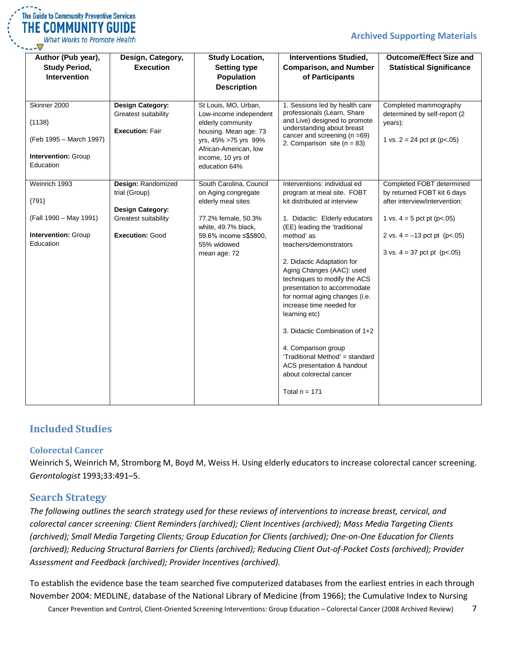#### **Archived Supporting Materials**

| $\mathcal{L} = \mathcal{L}$ | The Guide to Community Preventive Services |
|-----------------------------|--------------------------------------------|
|                             | THE COMMUNITY GUIDE                        |
|                             | What Works to Promote Health               |

| Author (Pub year),<br><b>Study Period,</b><br><b>Intervention</b>                       | Design, Category,<br><b>Execution</b>                                                                            | <b>Study Location,</b><br><b>Setting type</b><br>Population<br><b>Description</b>                                                                                                   | <b>Interventions Studied,</b><br><b>Comparison, and Number</b><br>of Participants                                                                                                                                                                                                                                                                                                                                                                                                                                                                                                      | <b>Outcome/Effect Size and</b><br><b>Statistical Significance</b>                                                                                                                                                |
|-----------------------------------------------------------------------------------------|------------------------------------------------------------------------------------------------------------------|-------------------------------------------------------------------------------------------------------------------------------------------------------------------------------------|----------------------------------------------------------------------------------------------------------------------------------------------------------------------------------------------------------------------------------------------------------------------------------------------------------------------------------------------------------------------------------------------------------------------------------------------------------------------------------------------------------------------------------------------------------------------------------------|------------------------------------------------------------------------------------------------------------------------------------------------------------------------------------------------------------------|
| Skinner 2000<br>${1138}$<br>(Feb 1995 - March 1997)<br>Intervention: Group<br>Education | <b>Design Category:</b><br>Greatest suitability<br><b>Execution: Fair</b>                                        | St Louis, MO, Urban,<br>Low-income independent<br>elderly community<br>housing. Mean age: 73<br>yrs, 45% >75 yrs 99%<br>African-American, low<br>income, 10 yrs of<br>education 64% | 1. Sessions led by health care<br>professionals (Learn, Share<br>and Live) designed to promote<br>understanding about breast<br>cancer and screening $(n = 69)$<br>2. Comparison site ( $n = 83$ )                                                                                                                                                                                                                                                                                                                                                                                     | Completed mammography<br>determined by self-report (2<br>years):<br>1 vs. $2 = 24$ pct pt (p<.05)                                                                                                                |
| Weinrich 1993<br>${791}$<br>(Fall 1990 - May 1991)<br>Intervention: Group<br>Education  | Design: Randomized<br>trial (Group)<br><b>Design Category:</b><br>Greatest suitability<br><b>Execution: Good</b> | South Carolina, Council<br>on Aging congregate<br>elderly meal sites<br>77.2% female, 50.3%<br>white, 49.7% black,<br>59.6% income ≤\$5800,<br>55% widowed<br>mean age: 72          | Interventions: individual ed<br>program at meal site. FOBT<br>kit distributed at interview<br>1. Didactic: Elderly educators<br>(EE) leading the 'traditional<br>method' as<br>teachers/demonstrators<br>2. Didactic Adaptation for<br>Aging Changes (AAC): used<br>techniques to modify the ACS<br>presentation to accommodate<br>for normal aging changes (i.e.<br>increase time needed for<br>learning etc)<br>3. Didactic Combination of 1+2<br>4. Comparison group<br>'Traditional Method' = standard<br>ACS presentation & handout<br>about colorectal cancer<br>Total $n = 171$ | Completed FOBT determined<br>by returned FOBT kit 6 days<br>after interview/intervention:<br>1 vs. $4 = 5$ pct pt (p<.05)<br>2 vs. $4 = -13$ pct pt (p<.05)<br>$3 \text{ vs. } 4 = 37 \text{ pot pt } (p < .05)$ |

## <span id="page-6-0"></span>**Included Studies**

#### <span id="page-6-1"></span>**Colorectal Cancer**

Weinrich S, Weinrich M, Stromborg M, Boyd M, Weiss H. Using elderly educators to increase colorectal cancer screening. *Gerontologist* 1993;33:491–5.

## <span id="page-6-2"></span>**Search Strategy**

*The following outlines the search strategy used for these reviews of interventions to increase breast, cervical, and colorectal cancer screening: Client Reminders (archived); Client Incentives (archived); Mass Media Targeting Clients (archived); Small Media Targeting Clients; Group Education for Clients (archived); One-on-One Education for Clients (archived); Reducing Structural Barriers for Clients (archived); Reducing Client Out-of-Pocket Costs (archived); Provider Assessment and Feedback (archived); Provider Incentives (archived).*

To establish the evidence base the team searched five computerized databases from the earliest entries in each through November 2004: MEDLINE, database of the National Library of Medicine (from 1966); the Cumulative Index to Nursing

Cancer Prevention and Control, Client-Oriented Screening Interventions: Group Education – Colorectal Cancer (2008 Archived Review) 7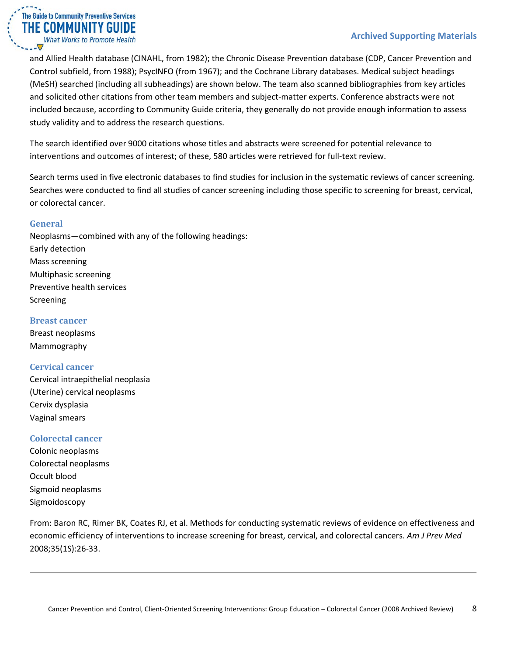#### **Archived Supporting Materials**

and Allied Health database (CINAHL, from 1982); the Chronic Disease Prevention database (CDP, Cancer Prevention and Control subfield, from 1988); PsycINFO (from 1967); and the Cochrane Library databases. Medical subject headings (MeSH) searched (including all subheadings) are shown below. The team also scanned bibliographies from key articles and solicited other citations from other team members and subject-matter experts. Conference abstracts were not included because, according to Community Guide criteria, they generally do not provide enough information to assess study validity and to address the research questions.

The search identified over 9000 citations whose titles and abstracts were screened for potential relevance to interventions and outcomes of interest; of these, 580 articles were retrieved for full-text review.

Search terms used in five electronic databases to find studies for inclusion in the systematic reviews of cancer screening. Searches were conducted to find all studies of cancer screening including those specific to screening for breast, cervical, or colorectal cancer.

#### <span id="page-7-0"></span>**General**

The Guide to Community Preventive Services THE COMMUNITY GUIDE **What Works to Promote Health** 

Neoplasms—combined with any of the following headings: Early detection Mass screening Multiphasic screening Preventive health services Screening

#### <span id="page-7-1"></span>**Breast cancer**

Breast neoplasms Mammography

#### <span id="page-7-2"></span>**Cervical cancer**

Cervical intraepithelial neoplasia (Uterine) cervical neoplasms Cervix dysplasia Vaginal smears

#### <span id="page-7-3"></span>**Colorectal cancer**

Colonic neoplasms Colorectal neoplasms Occult blood Sigmoid neoplasms Sigmoidoscopy

From: Baron RC, Rimer BK, Coates RJ, et al. Methods for conducting systematic reviews of evidence on effectiveness and economic efficiency of interventions to increase screening for breast, cervical, and colorectal cancers. *Am J Prev Med* 2008;35(1S):26-33.